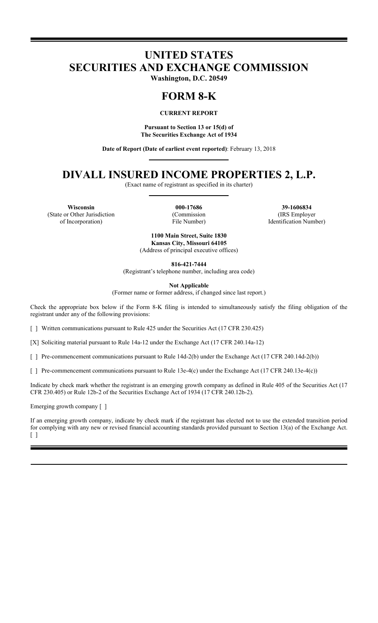# **UNITED STATES SECURITIES AND EXCHANGE COMMISSION**

**Washington, D.C. 20549**

# **FORM 8-K**

# **CURRENT REPORT**

**Pursuant to Section 13 or 15(d) of The Securities Exchange Act of 1934**

**Date of Report (Date of earliest event reported)**: February 13, 2018

# **DIVALL INSURED INCOME PROPERTIES 2, L.P.**

(Exact name of registrant as specified in its charter)

**Wisconsin 000-17686 39-1606834** (State or Other Jurisdiction of Incorporation)

(Commission File Number)

(IRS Employer Identification Number)

**1100 Main Street, Suite 1830 Kansas City, Missouri 64105** (Address of principal executive offices)

**816-421-7444**

(Registrant's telephone number, including area code)

**Not Applicable**

(Former name or former address, if changed since last report.)

Check the appropriate box below if the Form 8-K filing is intended to simultaneously satisfy the filing obligation of the registrant under any of the following provisions:

[ ] Written communications pursuant to Rule 425 under the Securities Act (17 CFR 230.425)

[X] Soliciting material pursuant to Rule 14a-12 under the Exchange Act (17 CFR 240.14a-12)

[ ] Pre-commencement communications pursuant to Rule 14d-2(b) under the Exchange Act (17 CFR 240.14d-2(b))

[ ] Pre-commencement communications pursuant to Rule 13e-4(c) under the Exchange Act (17 CFR 240.13e-4(c))

Indicate by check mark whether the registrant is an emerging growth company as defined in Rule 405 of the Securities Act (17 CFR 230.405) or Rule 12b-2 of the Securities Exchange Act of 1934 (17 CFR 240.12b-2).

Emerging growth company [ ]

If an emerging growth company, indicate by check mark if the registrant has elected not to use the extended transition period for complying with any new or revised financial accounting standards provided pursuant to Section 13(a) of the Exchange Act. [ ]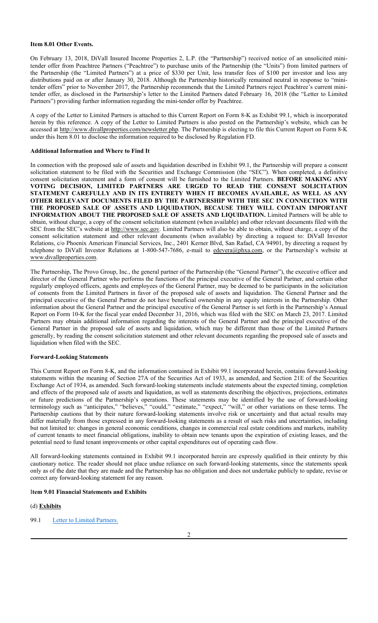### **Item 8.01 Other Events.**

On February 13, 2018, DiVall Insured Income Properties 2, L.P. (the "Partnership") received notice of an unsolicited minitender offer from Peachtree Partners ("Peachtree") to purchase units of the Partnership (the "Units") from limited partners of the Partnership (the "Limited Partners") at a price of \$330 per Unit, less transfer fees of \$100 per investor and less any distributions paid on or after January 30, 2018. Although the Partnership historically remained neutral in response to "minitender offers" prior to November 2017, the Partnership recommends that the Limited Partners reject Peachtree's current minitender offer, as disclosed in the Partnership's letter to the Limited Partners dated February 16, 2018 (the "Letter to Limited Partners") providing further information regarding the mini-tender offer by Peachtree.

A copy of the Letter to Limited Partners is attached to this Current Report on Form 8-K as Exhibit 99.1, which is incorporated herein by this reference. A copy of the Letter to Limited Partners is also posted on the Partnership's website, which can be accessed at http://www.divallproperties.com/newsletter.php. The Partnership is electing to file this Current Report on Form 8-K under this Item 8.01 to disclose the information required to be disclosed by Regulation FD.

### **Additional Information and Where to Find It**

In connection with the proposed sale of assets and liquidation described in Exhibit 99.1, the Partnership will prepare a consent solicitation statement to be filed with the Securities and Exchange Commission (the "SEC"). When completed, a definitive consent solicitation statement and a form of consent will be furnished to the Limited Partners. **BEFORE MAKING ANY VOTING DECISION, LIMITED PARTNERS ARE URGED TO READ THE CONSENT SOLICITATION STATEMENT CAREFULLY AND IN ITS ENTIRETY WHEN IT BECOMES AVAILABLE, AS WELL AS ANY OTHER RELEVANT DOCUMENTS FILED BY THE PARTNERSHIP WITH THE SEC IN CONNECTION WITH THE PROPOSED SALE OF ASSETS AND LIQUIDATION, BECAUSE THEY WILL CONTAIN IMPORTANT INFORMATION ABOUT THE PROPOSED SALE OF ASSETS AND LIQUIDATION.** Limited Partners will be able to obtain, without charge, a copy of the consent solicitation statement (when available) and other relevant documents filed with the SEC from the SEC's website at http://www.sec.gov. Limited Partners will also be able to obtain, without charge, a copy of the consent solicitation statement and other relevant documents (when available) by directing a request to: DiVall Investor Relations, c/o Phoenix American Financial Services, Inc., 2401 Kerner Blvd, San Rafael, CA 94901, by directing a request by telephone to DiVall Investor Relations at 1-800-547-7686, e-mail to edevera@phxa.com, or the Partnership's website at www.divallproperties.com.

The Partnership, The Provo Group, Inc., the general partner of the Partnership (the "General Partner"), the executive officer and director of the General Partner who performs the functions of the principal executive of the General Partner, and certain other regularly employed officers, agents and employees of the General Partner, may be deemed to be participants in the solicitation of consents from the Limited Partners in favor of the proposed sale of assets and liquidation. The General Partner and the principal executive of the General Partner do not have beneficial ownership in any equity interests in the Partnership. Other information about the General Partner and the principal executive of the General Partner is set forth in the Partnership's Annual Report on Form 10-K for the fiscal year ended December 31, 2016, which was filed with the SEC on March 23, 2017. Limited Partners may obtain additional information regarding the interests of the General Partner and the principal executive of the General Partner in the proposed sale of assets and liquidation, which may be different than those of the Limited Partners generally, by reading the consent solicitation statement and other relevant documents regarding the proposed sale of assets and liquidation when filed with the SEC.

#### **Forward-Looking Statements**

This Current Report on Form 8-K, and the information contained in Exhibit 99.1 incorporated herein, contains forward-looking statements within the meaning of Section 27A of the Securities Act of 1933, as amended, and Section 21E of the Securities Exchange Act of 1934, as amended. Such forward-looking statements include statements about the expected timing, completion and effects of the proposed sale of assets and liquidation, as well as statements describing the objectives, projections, estimates or future predictions of the Partnership's operations. These statements may be identified by the use of forward-looking terminology such as "anticipates," "believes," "could," "estimate," "expect," "will," or other variations on these terms. The Partnership cautions that by their nature forward-looking statements involve risk or uncertainty and that actual results may differ materially from those expressed in any forward-looking statements as a result of such risks and uncertainties, including but not limited to: changes in general economic conditions, changes in commercial real estate conditions and markets, inability of current tenants to meet financial obligations, inability to obtain new tenants upon the expiration of existing leases, and the potential need to fund tenant improvements or other capital expenditures out of operating cash flow.

All forward-looking statements contained in Exhibit 99.1 incorporated herein are expressly qualified in their entirety by this cautionary notice. The reader should not place undue reliance on such forward-looking statements, since the statements speak only as of the date that they are made and the Partnership has no obligation and does not undertake publicly to update, revise or correct any forward-looking statement for any reason.

#### I**tem 9.01 Financial Statements and Exhibits**

#### (d) **Exhibits**

99.1 Letter to Limited Partners.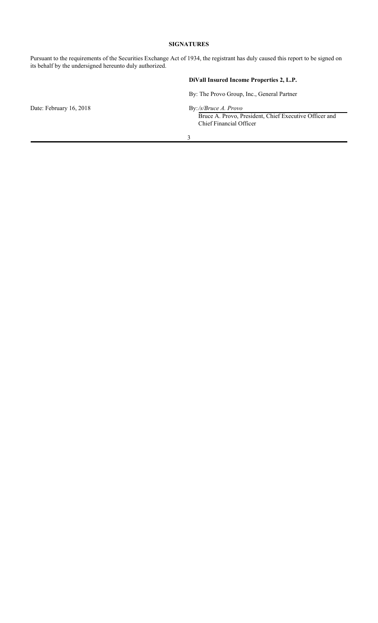# **SIGNATURES**

Pursuant to the requirements of the Securities Exchange Act of 1934, the registrant has duly caused this report to be signed on its behalf by the undersigned hereunto duly authorized.

# **DiVall Insured Income Properties 2, L.P.**

By: The Provo Group, Inc., General Partner

Date: February 16, 2018

By:/s/Bruce A. Provo,<br>Bruce A. Provo, President, Chief Executive Officer and Chief Financial Officer

3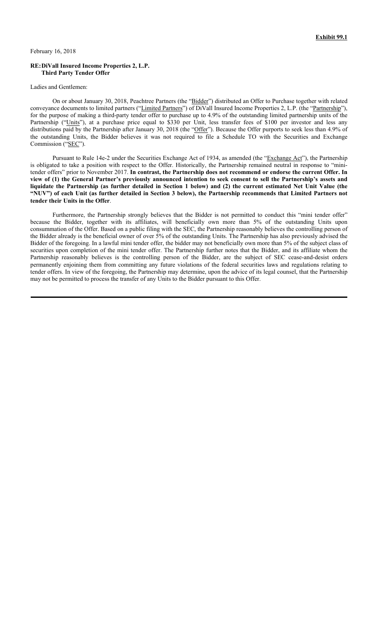February 16, 2018

#### **RE:DiVall Insured Income Properties 2, L.P. Third Party Tender Offer**

#### Ladies and Gentlemen:

On or about January 30, 2018, Peachtree Partners (the "Bidder") distributed an Offer to Purchase together with related conveyance documents to limited partners ("Limited Partners") of DiVall Insured Income Properties 2, L.P. (the "Partnership"), for the purpose of making a third-party tender offer to purchase up to 4.9% of the outstanding limited partnership units of the Partnership ("Units"), at a purchase price equal to \$330 per Unit, less transfer fees of \$100 per investor and less any distributions paid by the Partnership after January 30, 2018 (the "Offer"). Because the Offer purports to seek less than 4.9% of the outstanding Units, the Bidder believes it was not required to file a Schedule TO with the Securities and Exchange Commission ("SEC").

Pursuant to Rule 14e-2 under the Securities Exchange Act of 1934, as amended (the "Exchange Act"), the Partnership is obligated to take a position with respect to the Offer. Historically, the Partnership remained neutral in response to "minitender offers" prior to November 2017. **In contrast, the Partnership does not recommend or endorse the current Offer. In view of (1) the General Partner's previously announced intention to seek consent to sell the Partnership's assets and liquidate the Partnership (as further detailed in Section 1 below) and (2) the current estimated Net Unit Value (the "NUV") of each Unit (as further detailed in Section 3 below), the Partnership recommends that Limited Partners not tender their Units in the Offer**.

Furthermore, the Partnership strongly believes that the Bidder is not permitted to conduct this "mini tender offer" because the Bidder, together with its affiliates, will beneficially own more than 5% of the outstanding Units upon consummation of the Offer. Based on a public filing with the SEC, the Partnership reasonably believes the controlling person of the Bidder already is the beneficial owner of over 5% of the outstanding Units. The Partnership has also previously advised the Bidder of the foregoing. In a lawful mini tender offer, the bidder may not beneficially own more than 5% of the subject class of securities upon completion of the mini tender offer. The Partnership further notes that the Bidder, and its affiliate whom the Partnership reasonably believes is the controlling person of the Bidder, are the subject of SEC cease-and-desist orders permanently enjoining them from committing any future violations of the federal securities laws and regulations relating to tender offers. In view of the foregoing, the Partnership may determine, upon the advice of its legal counsel, that the Partnership may not be permitted to process the transfer of any Units to the Bidder pursuant to this Offer.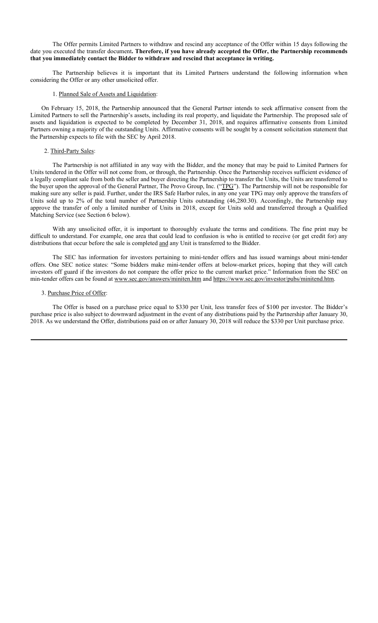The Offer permits Limited Partners to withdraw and rescind any acceptance of the Offer within 15 days following the date you executed the transfer document**. Therefore, if you have already accepted the Offer, the Partnership recommends that you immediately contact the Bidder to withdraw and rescind that acceptance in writing.** 

The Partnership believes it is important that its Limited Partners understand the following information when considering the Offer or any other unsolicited offer.

## 1. Planned Sale of Assets and Liquidation:

On February 15, 2018, the Partnership announced that the General Partner intends to seek affirmative consent from the Limited Partners to sell the Partnership's assets, including its real property, and liquidate the Partnership. The proposed sale of assets and liquidation is expected to be completed by December 31, 2018, and requires affirmative consents from Limited Partners owning a majority of the outstanding Units. Affirmative consents will be sought by a consent solicitation statement that the Partnership expects to file with the SEC by April 2018.

#### 2. Third-Party Sales:

The Partnership is not affiliated in any way with the Bidder, and the money that may be paid to Limited Partners for Units tendered in the Offer will not come from, or through, the Partnership. Once the Partnership receives sufficient evidence of a legally compliant sale from both the seller and buyer directing the Partnership to transfer the Units, the Units are transferred to the buyer upon the approval of the General Partner, The Provo Group, Inc. ("TPG"). The Partnership will not be responsible for making sure any seller is paid. Further, under the IRS Safe Harbor rules, in any one year TPG may only approve the transfers of Units sold up to 2% of the total number of Partnership Units outstanding (46,280.30). Accordingly, the Partnership may approve the transfer of only a limited number of Units in 2018, except for Units sold and transferred through a Qualified Matching Service (see Section 6 below).

With any unsolicited offer, it is important to thoroughly evaluate the terms and conditions. The fine print may be difficult to understand. For example, one area that could lead to confusion is who is entitled to receive (or get credit for) any distributions that occur before the sale is completed and any Unit is transferred to the Bidder.

The SEC has information for investors pertaining to mini-tender offers and has issued warnings about mini-tender offers. One SEC notice states: "Some bidders make mini-tender offers at below-market prices, hoping that they will catch investors off guard if the investors do not compare the offer price to the current market price." Information from the SEC on min-tender offers can be found at www.sec.gov/answers/miniten.htm and https://www.sec.gov/investor/pubs/minitend.htm.

#### 3. Purchase Price of Offer:

The Offer is based on a purchase price equal to \$330 per Unit, less transfer fees of \$100 per investor. The Bidder's purchase price is also subject to downward adjustment in the event of any distributions paid by the Partnership after January 30, 2018. As we understand the Offer, distributions paid on or after January 30, 2018 will reduce the \$330 per Unit purchase price.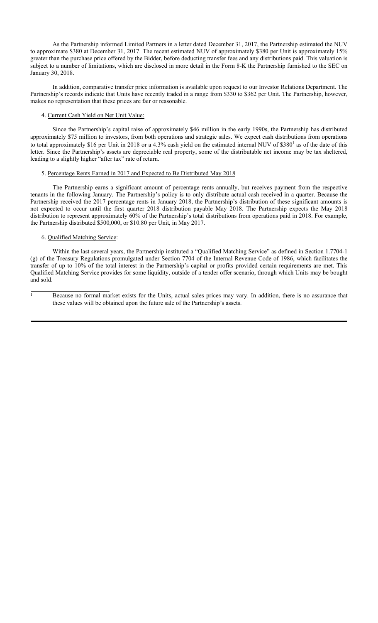As the Partnership informed Limited Partners in a letter dated December 31, 2017, the Partnership estimated the NUV to approximate \$380 at December 31, 2017. The recent estimated NUV of approximately \$380 per Unit is approximately 15% greater than the purchase price offered by the Bidder, before deducting transfer fees and any distributions paid. This valuation is subject to a number of limitations, which are disclosed in more detail in the Form 8-K the Partnership furnished to the SEC on January 30, 2018.

In addition, comparative transfer price information is available upon request to our Investor Relations Department. The Partnership's records indicate that Units have recently traded in a range from \$330 to \$362 per Unit. The Partnership, however, makes no representation that these prices are fair or reasonable.

# 4. Current Cash Yield on Net Unit Value:

Since the Partnership's capital raise of approximately \$46 million in the early 1990s, the Partnership has distributed approximately \$75 million to investors, from both operations and strategic sales. We expect cash distributions from operations to total approximately \$16 per Unit in 2018 or a 4.3% cash yield on the estimated internal NUV of \$380<sup>1</sup> as of the date of this letter. Since the Partnership's assets are depreciable real property, some of the distributable net income may be tax sheltered, leading to a slightly higher "after tax" rate of return.

## 5. Percentage Rents Earned in 2017 and Expected to Be Distributed May 2018

The Partnership earns a significant amount of percentage rents annually, but receives payment from the respective tenants in the following January. The Partnership's policy is to only distribute actual cash received in a quarter. Because the Partnership received the 2017 percentage rents in January 2018, the Partnership's distribution of these significant amounts is not expected to occur until the first quarter 2018 distribution payable May 2018. The Partnership expects the May 2018 distribution to represent approximately 60% of the Partnership's total distributions from operations paid in 2018. For example, the Partnership distributed \$500,000, or \$10.80 per Unit, in May 2017.

# 6. Qualified Matching Service:

Within the last several years, the Partnership instituted a "Qualified Matching Service" as defined in Section 1.7704-1 (g) of the Treasury Regulations promulgated under Section 7704 of the Internal Revenue Code of 1986, which facilitates the transfer of up to 10% of the total interest in the Partnership's capital or profits provided certain requirements are met. This Qualified Matching Service provides for some liquidity, outside of a tender offer scenario, through which Units may be bought and sold.

<sup>&</sup>lt;sup>1</sup> Because no formal market exists for the Units, actual sales prices may vary. In addition, there is no assurance that these values will be obtained upon the future sale of the Partnership's assets.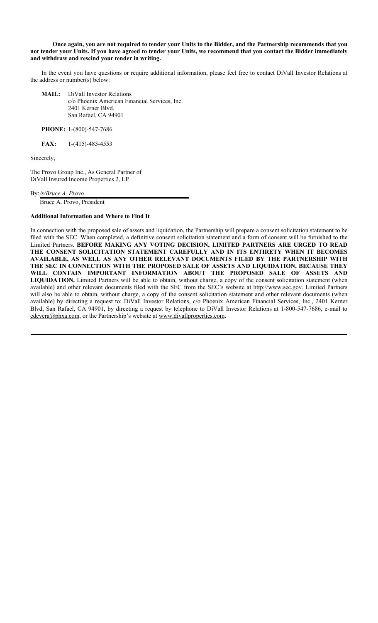**Once again, you are not required to tender your Units to the Bidder, and the Partnership recommends that you not tender your Units. If you have agreed to tender your Units, we recommend that you contact the Bidder immediately and withdraw and rescind your tender in writing.**

In the event you have questions or require additional information, please feel free to contact DiVall Investor Relations at the address or number(s) below:

**MAIL:** DiVall Investor Relations c/o Phoenix American Financial Services, Inc. 2401 Kerner Blvd. San Rafael, CA 94901

**PHONE:** 1-(800)-547-7686

**FAX:** 1-(415)-485-4553

Sincerely,

The Provo Group Inc., As General Partner of DiVall Insured Income Properties 2, LP

By:*/s/Bruce A. Provo*

Bruce A. Provo, President

#### **Additional Information and Where to Find It**

In connection with the proposed sale of assets and liquidation, the Partnership will prepare a consent solicitation statement to be filed with the SEC. When completed, a definitive consent solicitation statement and a form of consent will be furnished to the Limited Partners. **BEFORE MAKING ANY VOTING DECISION, LIMITED PARTNERS ARE URGED TO READ THE CONSENT SOLICITATION STATEMENT CAREFULLY AND IN ITS ENTIRETY WHEN IT BECOMES AVAILABLE, AS WELL AS ANY OTHER RELEVANT DOCUMENTS FILED BY THE PARTNERSHIP WITH THE SEC IN CONNECTION WITH THE PROPOSED SALE OF ASSETS AND LIQUIDATION, BECAUSE THEY WILL CONTAIN IMPORTANT INFORMATION ABOUT THE PROPOSED SALE OF ASSETS AND LIQUIDATION.** Limited Partners will be able to obtain, without charge, a copy of the consent solicitation statement (when available) and other relevant documents filed with the SEC from the SEC's website at http://www.sec.gov. Limited Partners will also be able to obtain, without charge, a copy of the consent solicitation statement and other relevant documents (when available) by directing a request to: DiVall Investor Relations, c/o Phoenix American Financial Services, Inc., 2401 Kerner Blvd, San Rafael, CA 94901, by directing a request by telephone to DiVall Investor Relations at 1-800-547-7686, e-mail to edevera@phxa.com, or the Partnership's website at www.divallproperties.com.